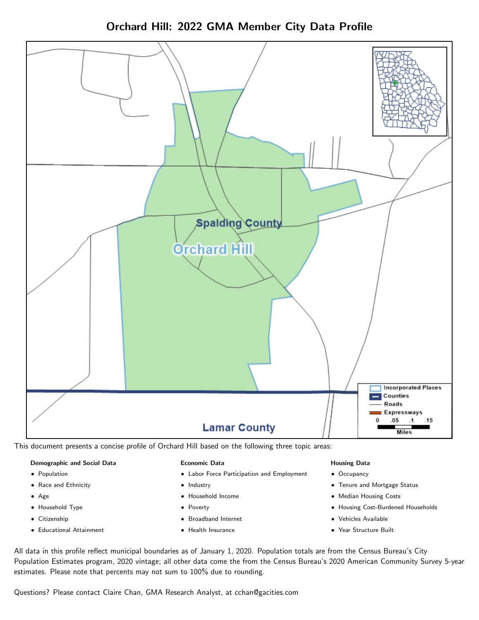Orchard Hill: 2022 GMA Member City Data Profile



This document presents a concise profile of Orchard Hill based on the following three topic areas:

#### Demographic and Social Data

- **•** Population
- Race and Ethnicity
- Age
- Household Type
- **Citizenship**
- Educational Attainment

#### Economic Data

- Labor Force Participation and Employment
- Industry
- Household Income
- Poverty
- Broadband Internet
- Health Insurance

#### Housing Data

- Occupancy
- Tenure and Mortgage Status
- Median Housing Costs
- Housing Cost-Burdened Households
- Vehicles Available
- Year Structure Built

All data in this profile reflect municipal boundaries as of January 1, 2020. Population totals are from the Census Bureau's City Population Estimates program, 2020 vintage; all other data come the from the Census Bureau's 2020 American Community Survey 5-year estimates. Please note that percents may not sum to 100% due to rounding.

Questions? Please contact Claire Chan, GMA Research Analyst, at [cchan@gacities.com.](mailto:cchan@gacities.com)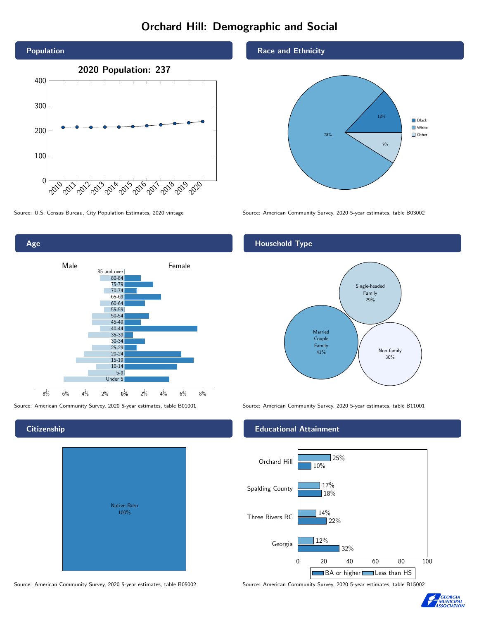# Orchard Hill: Demographic and Social





# **Citizenship**

| <b>Native Born</b><br>100% |  |
|----------------------------|--|

Race and Ethnicity



Source: U.S. Census Bureau, City Population Estimates, 2020 vintage Source: American Community Survey, 2020 5-year estimates, table B03002

## Household Type



Source: American Community Survey, 2020 5-year estimates, table B01001 Source: American Community Survey, 2020 5-year estimates, table B11001

#### Educational Attainment



Source: American Community Survey, 2020 5-year estimates, table B05002 Source: American Community Survey, 2020 5-year estimates, table B15002

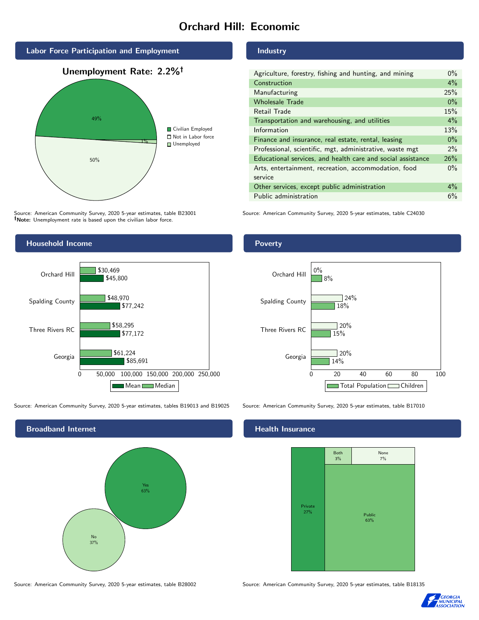# Orchard Hill: Economic



Source: American Community Survey, 2020 5-year estimates, table B23001 Note: Unemployment rate is based upon the civilian labor force.

### Industry

| Agriculture, forestry, fishing and hunting, and mining      | $0\%$ |
|-------------------------------------------------------------|-------|
| Construction                                                | $4\%$ |
| Manufacturing                                               | 25%   |
| <b>Wholesale Trade</b>                                      | $0\%$ |
| Retail Trade                                                | 15%   |
| Transportation and warehousing, and utilities               | $4\%$ |
| Information                                                 | 13%   |
| Finance and insurance, real estate, rental, leasing         | $0\%$ |
| Professional, scientific, mgt, administrative, waste mgt    | $2\%$ |
| Educational services, and health care and social assistance | 26%   |
| Arts, entertainment, recreation, accommodation, food        |       |
| service                                                     |       |
| Other services, except public administration                | $4\%$ |
| Public administration                                       | 6%    |

Source: American Community Survey, 2020 5-year estimates, table C24030



Source: American Community Survey, 2020 5-year estimates, tables B19013 and B19025 Source: American Community Survey, 2020 5-year estimates, table B17010



#### Poverty



# **Health Insurance**



Source: American Community Survey, 2020 5-year estimates, table B28002 Source: American Community Survey, 2020 5-year estimates, table B18135